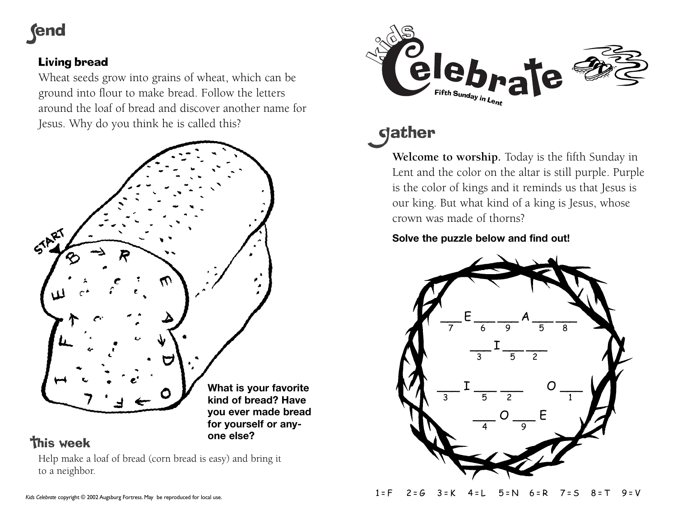# **fend**

### Living bread

Wheat seeds grow into grains of wheat, which can be ground into flour to make bread. Follow the letters around the loaf of bread and discover another name for Jesus. Why do you think he is called this?



## **This week**

Help make a loaf of bread (corn bread is easy) and bring it to a neighbor.

**one else?**



# **gather**

**Welcome to worship.** Today is the fifth Sunday in Lent and the color on the altar is still purple. Purple is the color of kings and it reminds us that Jesus is our king. But what kind of a king is Jesus, whose crown was made of thorns?

### **Solve the puzzle below and find out!**